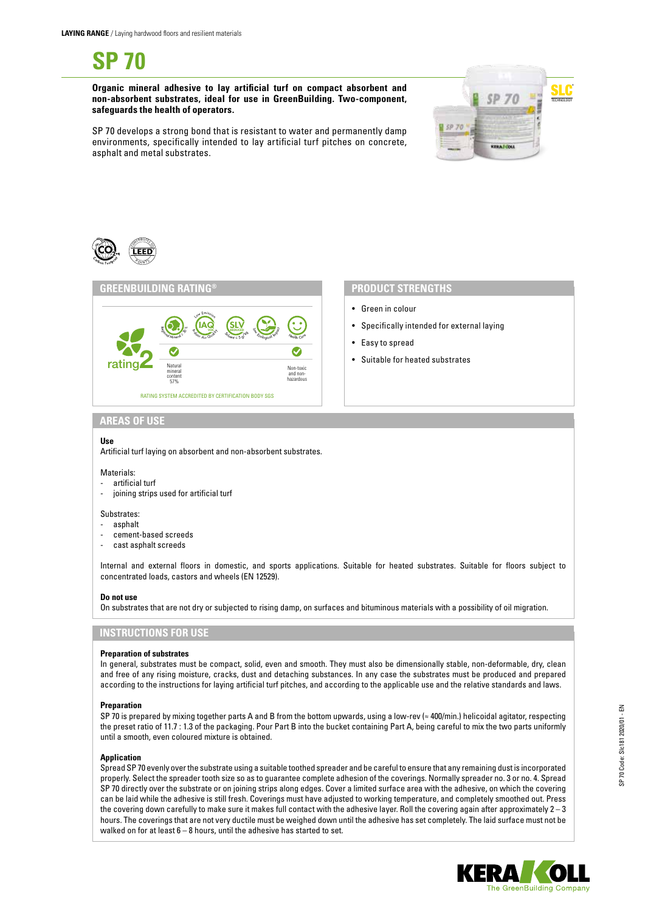**SP 70**

**Organic mineral adhesive to lay artificial turf on compact absorbent and non-absorbent substrates, ideal for use in GreenBuilding. Two-component, safeguards the health of operators.**



SP 70 develops a strong bond that is resistant to water and permanently damp environments, specifically intended to lay artificial turf pitches on concrete, asphalt and metal substrates.





- Green in colour
- Specifically intended for external laying
- Easy to spread
- Suitable for heated substrates

# **AREAS OF USE**

## **Use**

Artificial turf laying on absorbent and non-absorbent substrates.

#### Materials:

- artificial turf
- joining strips used for artificial turf

### Substrates:

- asphalt
- cement-based screeds
- cast asphalt screeds

Internal and external floors in domestic, and sports applications. Suitable for heated substrates. Suitable for floors subject to concentrated loads, castors and wheels (EN 12529).

### **Do not use**

On substrates that are not dry or subjected to rising damp, on surfaces and bituminous materials with a possibility of oil migration.

# **INSTRUCTIONS FOR USE**

#### **Preparation of substrates**

In general, substrates must be compact, solid, even and smooth. They must also be dimensionally stable, non-deformable, dry, clean and free of any rising moisture, cracks, dust and detaching substances. In any case the substrates must be produced and prepared according to the instructions for laying artificial turf pitches, and according to the applicable use and the relative standards and laws.

#### **Preparation**

SP 70 is prepared by mixing together parts A and B from the bottom upwards, using a low-rev (≈ 400/min.) helicoidal agitator, respecting the preset ratio of 11.7 : 1.3 of the packaging. Pour Part B into the bucket containing Part A, being careful to mix the two parts uniformly until a smooth, even coloured mixture is obtained.

### **Application**

Spread SP 70 evenly over the substrate using a suitable toothed spreader and be careful to ensure that any remaining dust is incorporated properly. Select the spreader tooth size so as to guarantee complete adhesion of the coverings. Normally spreader no. 3 or no. 4. Spread SP 70 directly over the substrate or on joining strips along edges. Cover a limited surface area with the adhesive, on which the covering can be laid while the adhesive is still fresh. Coverings must have adjusted to working temperature, and completely smoothed out. Press the covering down carefully to make sure it makes full contact with the adhesive layer. Roll the covering again after approximately 2 – 3 hours. The coverings that are not very ductile must be weighed down until the adhesive has set completely. The laid surface must not be walked on for at least  $6 - 8$  hours, until the adhesive has started to set.